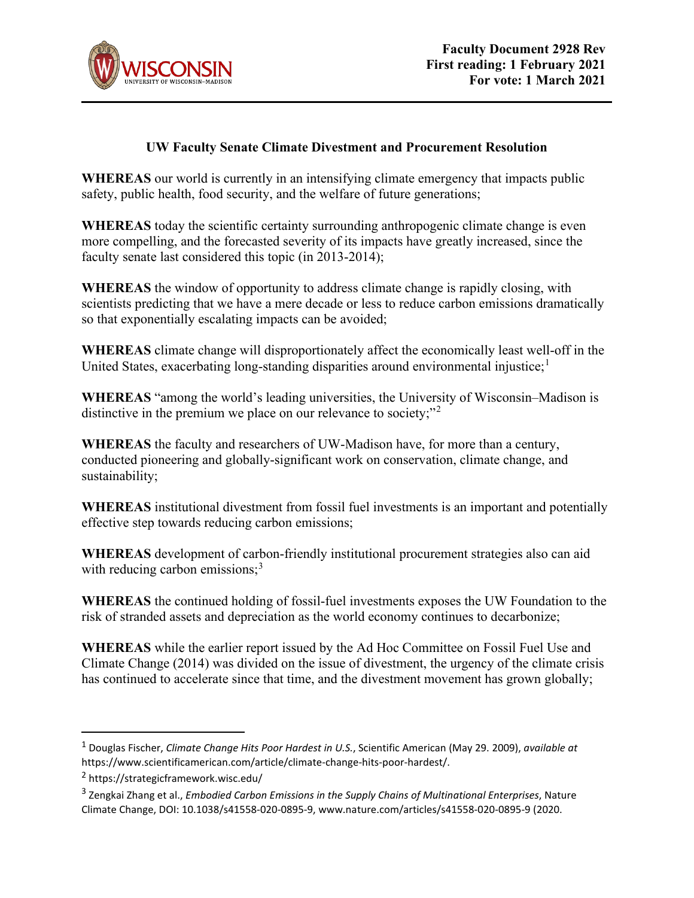

## **UW Faculty Senate Climate Divestment and Procurement Resolution**

**WHEREAS** our world is currently in an intensifying climate emergency that impacts public safety, public health, food security, and the welfare of future generations;

**WHEREAS** today the scientific certainty surrounding anthropogenic climate change is even more compelling, and the forecasted severity of its impacts have greatly increased, since the faculty senate last considered this topic (in 2013-2014);

**WHEREAS** the window of opportunity to address climate change is rapidly closing, with scientists predicting that we have a mere decade or less to reduce carbon emissions dramatically so that exponentially escalating impacts can be avoided;

**WHEREAS** climate change will disproportionately affect the economically least well-off in the United States, exacerbating long-standing disparities around environmental injustice; $<sup>1</sup>$  $<sup>1</sup>$  $<sup>1</sup>$ </sup>

**WHEREAS** "among the world's leading universities, the University of Wisconsin–Madison is distinctive in the premium we place on our relevance to society;"<sup>[2](#page-0-1)</sup>

**WHEREAS** the faculty and researchers of UW-Madison have, for more than a century, conducted pioneering and globally-significant work on conservation, climate change, and sustainability;

**WHEREAS** institutional divestment from fossil fuel investments is an important and potentially effective step towards reducing carbon emissions;

**WHEREAS** development of carbon-friendly institutional procurement strategies also can aid with reducing carbon emissions; $3$ 

**WHEREAS** the continued holding of fossil-fuel investments exposes the UW Foundation to the risk of stranded assets and depreciation as the world economy continues to decarbonize;

**WHEREAS** while the earlier report issued by the Ad Hoc Committee on Fossil Fuel Use and Climate Change (2014) was divided on the issue of divestment, the urgency of the climate crisis has continued to accelerate since that time, and the divestment movement has grown globally;

<span id="page-0-0"></span><sup>1</sup> Douglas Fischer, *Climate Change Hits Poor Hardest in U.S.*, Scientific American (May 29. 2009), *available at*  https://www.scientificamerican.com/article/climate-change-hits-poor-hardest/.

<span id="page-0-1"></span><sup>2</sup> https://strategicframework.wisc.edu/

<span id="page-0-2"></span><sup>3</sup> Zengkai Zhang et al., *Embodied Carbon Emissions in the Supply Chains of Multinational Enterprises*, Nature Climate Change, DOI: 10.1038/s41558-020-0895-9, www.nature.com/articles/s41558-020-0895-9 (2020.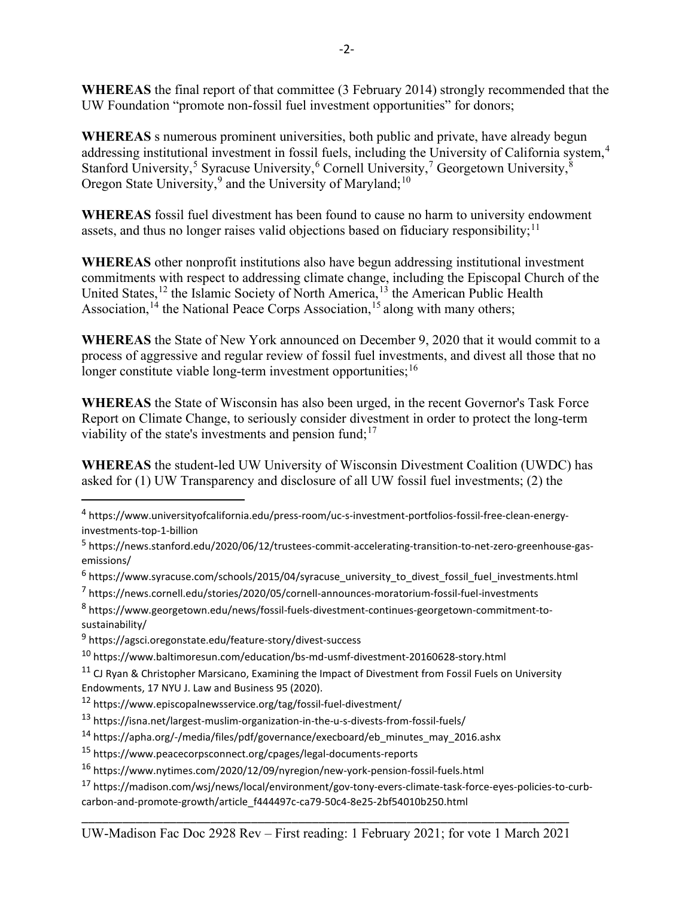**WHEREAS** the final report of that committee (3 February 2014) strongly recommended that the UW Foundation "promote non-fossil fuel investment opportunities" for donors;

**WHEREAS** s numerous prominent universities, both public and private, have already begun addressing institutional investment in fossil fuels, including the University of California system.<sup>[4](#page-1-0)</sup> Stanford University,<sup>[5](#page-1-1)</sup> Syracuse University,<sup>[6](#page-1-2)</sup> Cornell University,<sup>[7](#page-1-3)</sup> Georgetown University, $\frac{8}{3}$  $\frac{8}{3}$  $\frac{8}{3}$ Oregon State University,<sup>[9](#page-1-5)</sup> and the University of Maryland;<sup>[10](#page-1-6)</sup>

**WHEREAS** fossil fuel divestment has been found to cause no harm to university endowment assets, and thus no longer raises valid objections based on fiduciary responsibility;  $11$ 

**WHEREAS** other nonprofit institutions also have begun addressing institutional investment commitments with respect to addressing climate change, including the Episcopal Church of the United States,<sup>[12](#page-1-8)</sup> the Islamic Society of North America,<sup>[13](#page-1-9)</sup> the American Public Health Association,<sup>[14](#page-1-10)</sup> the National Peace Corps Association,<sup>[15](#page-1-11)</sup> along with many others;

**WHEREAS** the State of New York announced on December 9, 2020 that it would commit to a process of aggressive and regular review of fossil fuel investments, and divest all those that no longer constitute viable long-term investment opportunities;  $16$ 

**WHEREAS** the State of Wisconsin has also been urged, in the recent Governor's Task Force Report on Climate Change, to seriously consider divestment in order to protect the long-term viability of the state's investments and pension fund; $17$ 

**WHEREAS** the student-led UW University of Wisconsin Divestment Coalition (UWDC) has asked for (1) UW Transparency and disclosure of all UW fossil fuel investments; (2) the

<span id="page-1-3"></span><sup>7</sup> https://news.cornell.edu/stories/2020/05/cornell-announces-moratorium-fossil-fuel-investments

<span id="page-1-0"></span><sup>4</sup> https://www.universityofcalifornia.edu/press-room/uc-s-investment-portfolios-fossil-free-clean-energyinvestments-top-1-billion

<span id="page-1-1"></span><sup>5</sup> https://news.stanford.edu/2020/06/12/trustees-commit-accelerating-transition-to-net-zero-greenhouse-gasemissions/

<span id="page-1-2"></span><sup>&</sup>lt;sup>6</sup> https://www.syracuse.com/schools/2015/04/syracuse\_university\_to\_divest\_fossil\_fuel\_investments.html

<span id="page-1-4"></span><sup>8</sup> https://www.georgetown.edu/news/fossil-fuels-divestment-continues-georgetown-commitment-tosustainability/

<span id="page-1-5"></span><sup>9</sup> https://agsci.oregonstate.edu/feature-story/divest-success

<span id="page-1-6"></span><sup>10</sup> https://www.baltimoresun.com/education/bs-md-usmf-divestment-20160628-story.html

<span id="page-1-7"></span><sup>&</sup>lt;sup>11</sup> CJ Ryan & Christopher Marsicano, Examining the Impact of Divestment from Fossil Fuels on University Endowments, 17 NYU J. Law and Business 95 (2020).

<span id="page-1-8"></span><sup>12</sup> https://www.episcopalnewsservice.org/tag/fossil-fuel-divestment/

<span id="page-1-9"></span><sup>13</sup> https://isna.net/largest-muslim-organization-in-the-u-s-divests-from-fossil-fuels/

<span id="page-1-10"></span> $14$  https://apha.org/-/media/files/pdf/governance/execboard/eb\_minutes\_may\_2016.ashx

<span id="page-1-11"></span><sup>15</sup> https://www.peacecorpsconnect.org/cpages/legal-documents-reports

<span id="page-1-12"></span><sup>16</sup> https://www.nytimes.com/2020/12/09/nyregion/new-york-pension-fossil-fuels.html

<span id="page-1-13"></span><sup>17</sup> https://madison.com/wsj/news/local/environment/gov-tony-evers-climate-task-force-eyes-policies-to-curbcarbon-and-promote-growth/article\_f444497c-ca79-50c4-8e25-2bf54010b250.html